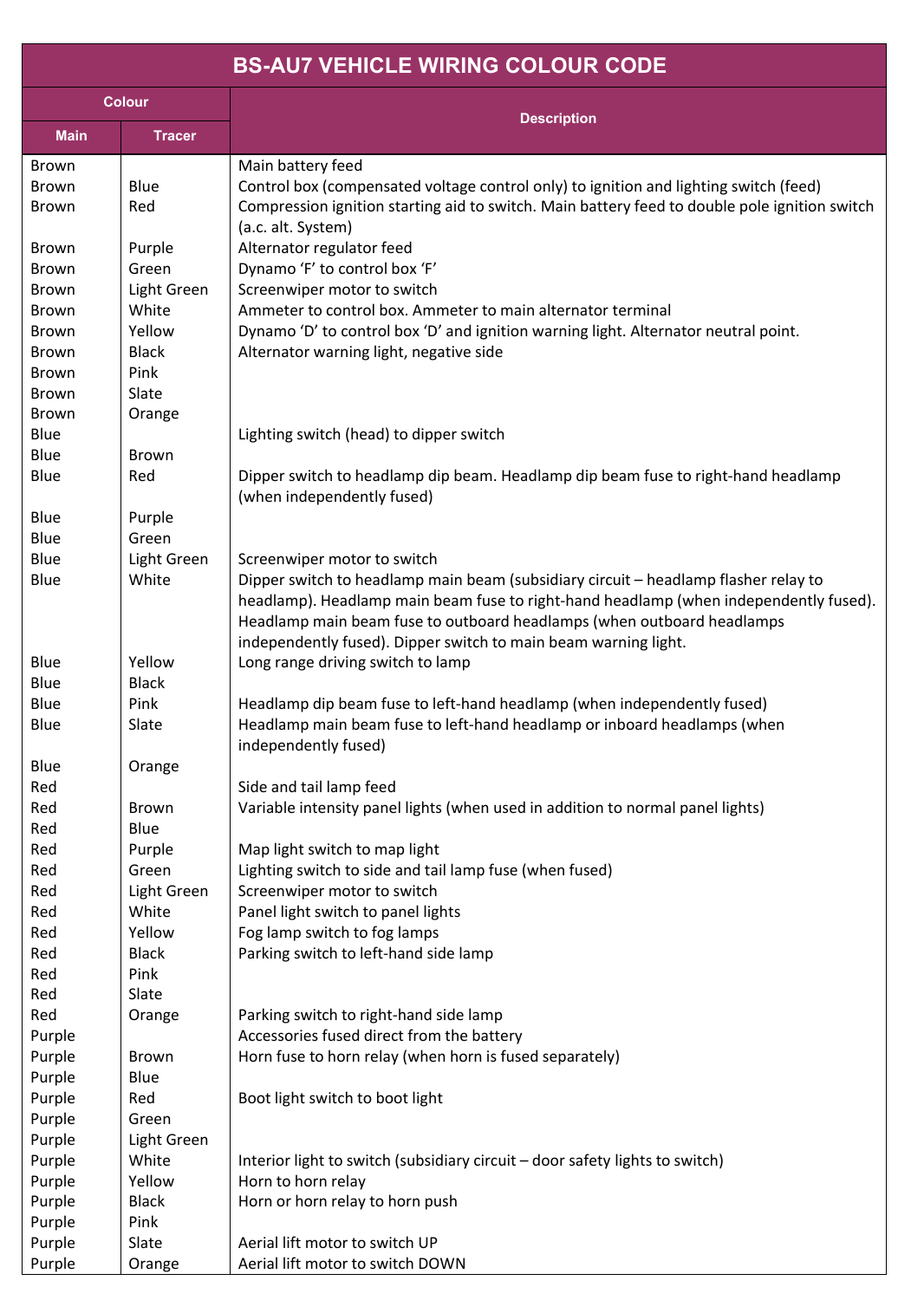## **BS-AU7 VEHICLE WIRING COLOUR CODE**

| <b>Colour</b> |               |                                                                                                                                                                                                                                                                                                                           |
|---------------|---------------|---------------------------------------------------------------------------------------------------------------------------------------------------------------------------------------------------------------------------------------------------------------------------------------------------------------------------|
| <b>Main</b>   | <b>Tracer</b> | <b>Description</b>                                                                                                                                                                                                                                                                                                        |
| <b>Brown</b>  |               | Main battery feed                                                                                                                                                                                                                                                                                                         |
| <b>Brown</b>  | Blue          | Control box (compensated voltage control only) to ignition and lighting switch (feed)                                                                                                                                                                                                                                     |
| <b>Brown</b>  | Red           | Compression ignition starting aid to switch. Main battery feed to double pole ignition switch<br>(a.c. alt. System)                                                                                                                                                                                                       |
| <b>Brown</b>  | Purple        | Alternator regulator feed                                                                                                                                                                                                                                                                                                 |
| <b>Brown</b>  | Green         | Dynamo 'F' to control box 'F'                                                                                                                                                                                                                                                                                             |
| <b>Brown</b>  | Light Green   | Screenwiper motor to switch                                                                                                                                                                                                                                                                                               |
| Brown         | White         | Ammeter to control box. Ammeter to main alternator terminal                                                                                                                                                                                                                                                               |
| <b>Brown</b>  | Yellow        | Dynamo 'D' to control box 'D' and ignition warning light. Alternator neutral point.                                                                                                                                                                                                                                       |
| <b>Brown</b>  | <b>Black</b>  | Alternator warning light, negative side                                                                                                                                                                                                                                                                                   |
| <b>Brown</b>  | Pink          |                                                                                                                                                                                                                                                                                                                           |
| <b>Brown</b>  | Slate         |                                                                                                                                                                                                                                                                                                                           |
| <b>Brown</b>  | Orange        |                                                                                                                                                                                                                                                                                                                           |
| Blue          |               | Lighting switch (head) to dipper switch                                                                                                                                                                                                                                                                                   |
| Blue          | Brown         |                                                                                                                                                                                                                                                                                                                           |
| Blue          | Red           | Dipper switch to headlamp dip beam. Headlamp dip beam fuse to right-hand headlamp<br>(when independently fused)                                                                                                                                                                                                           |
| Blue          | Purple        |                                                                                                                                                                                                                                                                                                                           |
| Blue          | Green         |                                                                                                                                                                                                                                                                                                                           |
| Blue          | Light Green   | Screenwiper motor to switch                                                                                                                                                                                                                                                                                               |
| Blue          | White         | Dipper switch to headlamp main beam (subsidiary circuit - headlamp flasher relay to<br>headlamp). Headlamp main beam fuse to right-hand headlamp (when independently fused).<br>Headlamp main beam fuse to outboard headlamps (when outboard headlamps<br>independently fused). Dipper switch to main beam warning light. |
| Blue          | Yellow        | Long range driving switch to lamp                                                                                                                                                                                                                                                                                         |
| Blue          | <b>Black</b>  |                                                                                                                                                                                                                                                                                                                           |
| Blue          | Pink          | Headlamp dip beam fuse to left-hand headlamp (when independently fused)                                                                                                                                                                                                                                                   |
| Blue          | Slate         | Headlamp main beam fuse to left-hand headlamp or inboard headlamps (when<br>independently fused)                                                                                                                                                                                                                          |
| Blue          | Orange        |                                                                                                                                                                                                                                                                                                                           |
| Red           |               | Side and tail lamp feed                                                                                                                                                                                                                                                                                                   |
| Red           | <b>Brown</b>  | Variable intensity panel lights (when used in addition to normal panel lights)                                                                                                                                                                                                                                            |
| Red           | Blue          |                                                                                                                                                                                                                                                                                                                           |
| Red           | Purple        | Map light switch to map light                                                                                                                                                                                                                                                                                             |
| Red           | Green         | Lighting switch to side and tail lamp fuse (when fused)                                                                                                                                                                                                                                                                   |
| Red           | Light Green   | Screenwiper motor to switch                                                                                                                                                                                                                                                                                               |
| Red           | White         | Panel light switch to panel lights                                                                                                                                                                                                                                                                                        |
| Red           | Yellow        | Fog lamp switch to fog lamps                                                                                                                                                                                                                                                                                              |
| Red           | <b>Black</b>  | Parking switch to left-hand side lamp                                                                                                                                                                                                                                                                                     |
| Red           | Pink          |                                                                                                                                                                                                                                                                                                                           |
| Red           | Slate         |                                                                                                                                                                                                                                                                                                                           |
| Red           | Orange        | Parking switch to right-hand side lamp                                                                                                                                                                                                                                                                                    |
| Purple        |               | Accessories fused direct from the battery                                                                                                                                                                                                                                                                                 |
| Purple        | <b>Brown</b>  | Horn fuse to horn relay (when horn is fused separately)                                                                                                                                                                                                                                                                   |
| Purple        | Blue          |                                                                                                                                                                                                                                                                                                                           |
| Purple        | Red           | Boot light switch to boot light                                                                                                                                                                                                                                                                                           |
| Purple        | Green         |                                                                                                                                                                                                                                                                                                                           |
| Purple        | Light Green   |                                                                                                                                                                                                                                                                                                                           |
| Purple        | White         | Interior light to switch (subsidiary circuit – door safety lights to switch)                                                                                                                                                                                                                                              |
| Purple        | Yellow        | Horn to horn relay                                                                                                                                                                                                                                                                                                        |
| Purple        | <b>Black</b>  | Horn or horn relay to horn push                                                                                                                                                                                                                                                                                           |
| Purple        | Pink          |                                                                                                                                                                                                                                                                                                                           |
| Purple        | Slate         | Aerial lift motor to switch UP                                                                                                                                                                                                                                                                                            |
| Purple        | Orange        | Aerial lift motor to switch DOWN                                                                                                                                                                                                                                                                                          |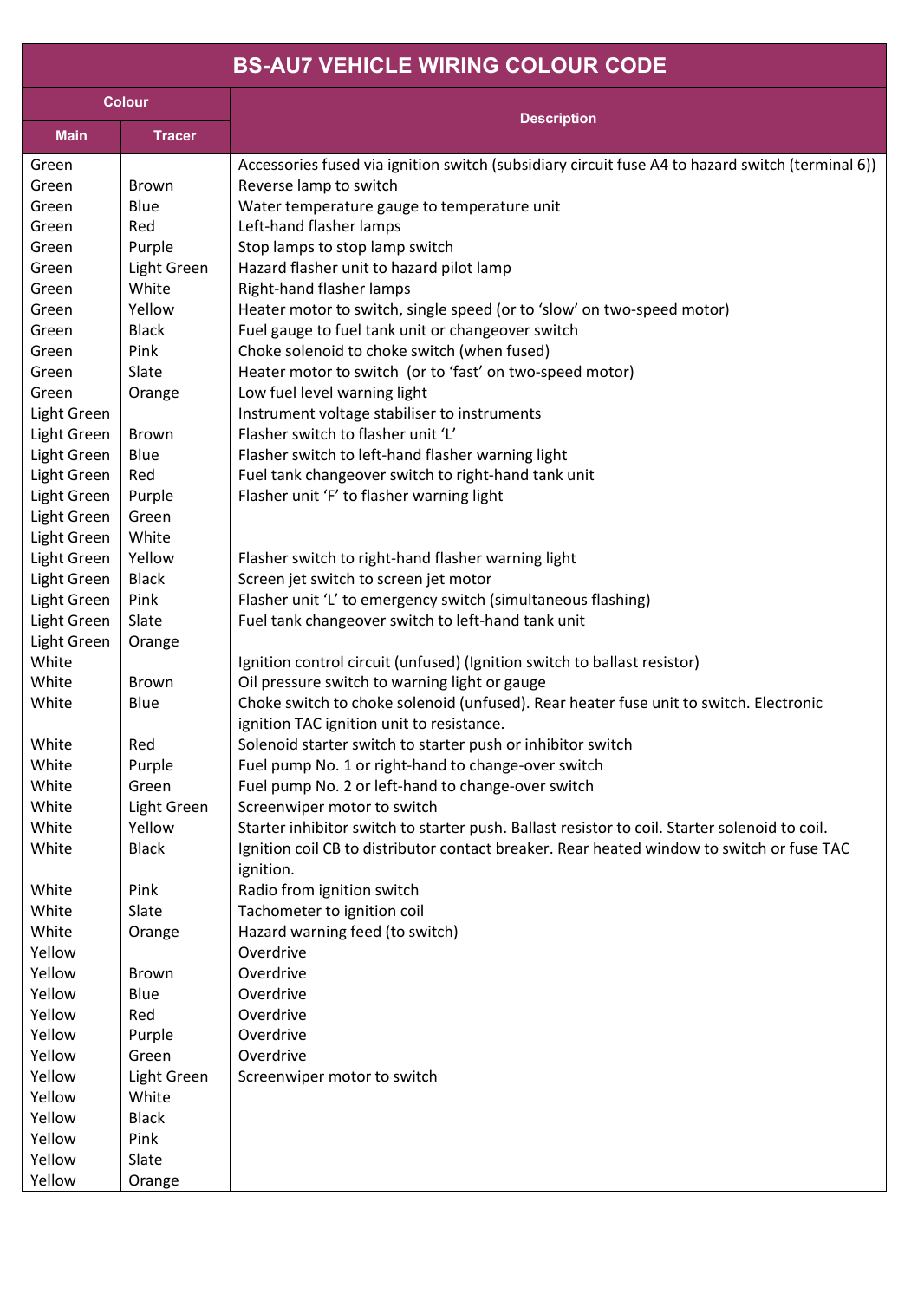## **BS-AU7 VEHICLE WIRING COLOUR CODE**

| <b>Colour</b> |               |                                                                                                                                    |
|---------------|---------------|------------------------------------------------------------------------------------------------------------------------------------|
| <b>Main</b>   | <b>Tracer</b> | <b>Description</b>                                                                                                                 |
| Green         |               | Accessories fused via ignition switch (subsidiary circuit fuse A4 to hazard switch (terminal 6))                                   |
| Green         | <b>Brown</b>  | Reverse lamp to switch                                                                                                             |
| Green         | Blue          | Water temperature gauge to temperature unit                                                                                        |
| Green         | Red           | Left-hand flasher lamps                                                                                                            |
| Green         | Purple        | Stop lamps to stop lamp switch                                                                                                     |
| Green         | Light Green   | Hazard flasher unit to hazard pilot lamp                                                                                           |
| Green         | White         | Right-hand flasher lamps                                                                                                           |
| Green         | Yellow        | Heater motor to switch, single speed (or to 'slow' on two-speed motor)                                                             |
| Green         | <b>Black</b>  | Fuel gauge to fuel tank unit or changeover switch                                                                                  |
| Green         | Pink          | Choke solenoid to choke switch (when fused)                                                                                        |
| Green         | Slate         | Heater motor to switch (or to 'fast' on two-speed motor)                                                                           |
| Green         | Orange        | Low fuel level warning light                                                                                                       |
| Light Green   |               | Instrument voltage stabiliser to instruments                                                                                       |
| Light Green   | <b>Brown</b>  | Flasher switch to flasher unit 'L'                                                                                                 |
| Light Green   | Blue          | Flasher switch to left-hand flasher warning light                                                                                  |
| Light Green   | Red           | Fuel tank changeover switch to right-hand tank unit                                                                                |
| Light Green   | Purple        | Flasher unit 'F' to flasher warning light                                                                                          |
| Light Green   | Green         |                                                                                                                                    |
| Light Green   | White         |                                                                                                                                    |
| Light Green   | Yellow        | Flasher switch to right-hand flasher warning light                                                                                 |
| Light Green   | <b>Black</b>  | Screen jet switch to screen jet motor                                                                                              |
| Light Green   | Pink          | Flasher unit 'L' to emergency switch (simultaneous flashing)                                                                       |
| Light Green   | Slate         | Fuel tank changeover switch to left-hand tank unit                                                                                 |
| Light Green   | Orange        |                                                                                                                                    |
| White         |               | Ignition control circuit (unfused) (Ignition switch to ballast resistor)                                                           |
| White         | Brown         | Oil pressure switch to warning light or gauge                                                                                      |
| White         | Blue          | Choke switch to choke solenoid (unfused). Rear heater fuse unit to switch. Electronic<br>ignition TAC ignition unit to resistance. |
| White         | Red           | Solenoid starter switch to starter push or inhibitor switch                                                                        |
| White         | Purple        | Fuel pump No. 1 or right-hand to change-over switch                                                                                |
| White         | Green         | Fuel pump No. 2 or left-hand to change-over switch                                                                                 |
| White         | Light Green   | Screenwiper motor to switch                                                                                                        |
| White         | Yellow        | Starter inhibitor switch to starter push. Ballast resistor to coil. Starter solenoid to coil.                                      |
| White         | <b>Black</b>  | Ignition coil CB to distributor contact breaker. Rear heated window to switch or fuse TAC<br>ignition.                             |
| White         | Pink          | Radio from ignition switch                                                                                                         |
| White         | Slate         | Tachometer to ignition coil                                                                                                        |
| White         | Orange        | Hazard warning feed (to switch)                                                                                                    |
| Yellow        |               | Overdrive                                                                                                                          |
| Yellow        | <b>Brown</b>  | Overdrive                                                                                                                          |
| Yellow        | Blue          | Overdrive                                                                                                                          |
| Yellow        | Red           | Overdrive                                                                                                                          |
| Yellow        | Purple        | Overdrive                                                                                                                          |
| Yellow        | Green         | Overdrive                                                                                                                          |
| Yellow        | Light Green   | Screenwiper motor to switch                                                                                                        |
| Yellow        | White         |                                                                                                                                    |
| Yellow        | <b>Black</b>  |                                                                                                                                    |
| Yellow        | Pink          |                                                                                                                                    |
| Yellow        | Slate         |                                                                                                                                    |
| Yellow        | Orange        |                                                                                                                                    |